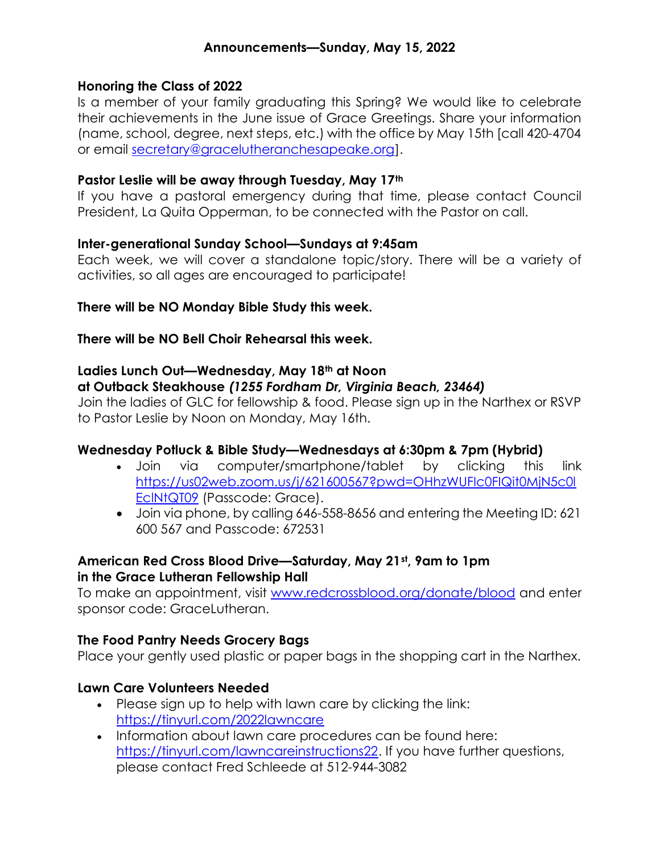#### Honoring the Class of 2022

Is a member of your family graduating this Spring? We would like to celebrate their achievements in the June issue of Grace Greetings. Share your information (name, school, degree, next steps, etc.) with the office by May 15th [call 420-4704 or email secretary@gracelutheranchesapeake.org].

#### Pastor Leslie will be away through Tuesday, May 17th

If you have a pastoral emergency during that time, please contact Council President, La Quita Opperman, to be connected with the Pastor on call.

#### Inter-generational Sunday School—Sundays at 9:45am

Each week, we will cover a standalone topic/story. There will be a variety of activities, so all ages are encouraged to participate!

#### There will be NO Monday Bible Study this week.

There will be NO Bell Choir Rehearsal this week.

# Ladies Lunch Out—Wednesday, May 18<sup>th</sup> at Noon

# at Outback Steakhouse (1255 Fordham Dr, Virginia Beach, 23464)

Join the ladies of GLC for fellowship & food. Please sign up in the Narthex or RSVP to Pastor Leslie by Noon on Monday, May 16th.

# Wednesday Potluck & Bible Study—Wednesdays at 6:30pm & 7pm (Hybrid)

- Join via computer/smartphone/tablet by clicking this link https://us02web.zoom.us/j/621600567?pwd=OHhzWUFIc0FIQit0MjN5c0l EclNtQT09 (Passcode: Grace).
- Join via phone, by calling 646-558-8656 and entering the Meeting ID: 621 600 567 and Passcode: 672531

#### American Red Cross Blood Drive—Saturday, May 21st, 9am to 1pm in the Grace Lutheran Fellowship Hall

To make an appointment, visit www.redcrossblood.org/donate/blood and enter sponsor code: GraceLutheran.

# The Food Pantry Needs Grocery Bags

Place your gently used plastic or paper bags in the shopping cart in the Narthex.

# Lawn Care Volunteers Needed

- Please sign up to help with lawn care by clicking the link: https://tinyurl.com/2022lawncare
- Information about lawn care procedures can be found here: https://tinyurl.com/lawncareinstructions22. If you have further questions, please contact Fred Schleede at 512-944-3082